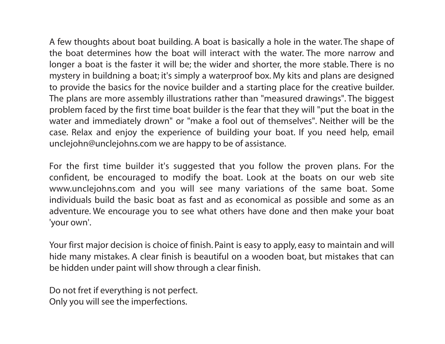A few thoughts about boat building. A boat is basically a hole in the water. The shape of the boat determines how the boat will interact with the water. The more narrow and longer a boat is the faster it will be; the wider and shorter, the more stable. There is no mystery in buildning a boat; it's simply a waterproof box. My kits and plans are designed to provide the basics for the novice builder and a starting place for the creative builder. The plans are more assembly illustrations rather than "measured drawings". The biggest problem faced by the first time boat builder is the fear that they will "put the boat in the water and immediately drown" or "make a fool out of themselves". Neither will be the case. Relax and enjoy the experience of building your boat. If you need help, email unclejohn@unclejohns.com we are happy to be of assistance.

For the first time builder it's suggested that you follow the proven plans. For the confident, be encouraged to modify the boat. Look at the boats on our web site www.unclejohns.com and you will see many variations of the same boat. Some individuals build the basic boat as fast and as economical as possible and some as an adventure. We encourage you to see what others have done and then make your boat 'your own'.

Your first major decision is choice of finish. Paint is easy to apply, easy to maintain and will hide many mistakes. A clear finish is beautiful on a wooden boat, but mistakes that can be hidden under paint will show through a clear finish.

Do not fret if everything is not perfect. Only you will see the imperfections.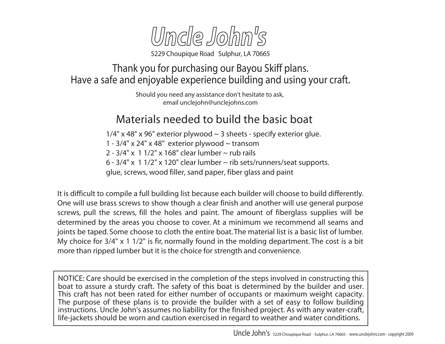

Thank you for purchasing our Bayou Skiff plans. Have a safe and enjoyable experience building and using your craft.

> Should you need any assistance don't hesitate to ask, email unclejohn@unclejohns.com

## Materials needed to build the basic boat

 $1/4$ " x 48" x 96" exterior plywood  $\sim$  3 sheets - specify exterior glue.

1 -  $3/4$ " x  $24$ " x  $48$ " exterior plywood  $\sim$  transom

2 -  $3/4$ " x  $11/2$ " x  $168$ " clear lumber  $\sim$  rub rails

6 -  $3/4$ " x 1 $1/2$ " x 120" clear lumber  $\sim$  rib sets/runners/seat supports.

glue, screws, wood filler, sand paper, fiber glass and paint

It is difficult to compile a full building list because each builder will choose to build differently. One will use brass screws to show though a clear finish and another will use general purpose screws, pull the screws, fill the holes and paint. The amount of fiberglass supplies will be determined by the areas you choose to cover. At a minimum we recommend all seams and joints be taped. Some choose to cloth the entire boat. The material list is a basic list of lumber. My choice for  $3/4$ " x 1  $1/2$ " is fir, normally found in the molding department. The cost is a bit more than ripped lumber but it is the choice for strength and convenience.

NOTICE: Care should be exercised in the completion of the steps involved in constructing this boat to assure a sturdy craft. The safety of this boat is determined by the builder and user. This craft has not been rated for either number of occupants or maximum weight capacity. The purpose of these plans is to provide the builder with a set of easy to follow building instructions. Uncle John's assumes no liability for the finished project. As with any water-craft, life-jackets should be worn and caution exercised in regard to weather and water conditions.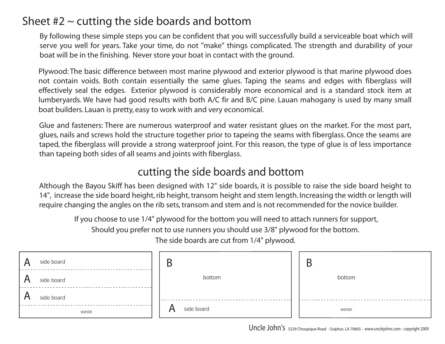## Sheet  $#2 \sim$  cutting the side boards and bottom

By following these simple steps you can be confident that you will successfully build a serviceable boat which will serve you well for years. Take your time, do not "make" things complicated. The strength and durability of your boat will be in the finishing. Never store your boat in contact with the ground.

Plywood: The basic difference between most marine plywood and exterior plywood is that marine plywood does not contain voids. Both contain essentially the same glues. Taping the seams and edges with fiberglass will effectively seal the edges. Exterior plywood is considerably more economical and is a standard stock item at lumberyards. We have had good results with both A/C fir and B/C pine. Lauan mahogany is used by many small boat builders. Lauan is pretty, easy to work with and very economical.

Glue and fasteners: There are numerous waterproof and water resistant glues on the market. For the most part, glues, nails and screws hold the structure together prior to tapeing the seams with fiberglass. Once the seams are taped, the fiberglass will provide a strong waterproof joint. For this reason, the type of glue is of less importance than tapeing both sides of all seams and joints with fiberglass.

#### cutting the side boards and bottom

Although the Bayou Skiff has been designed with 12" side boards, it is possible to raise the side board height to 14", increase the side board height, rib height, transom height and stem length. Increasing the width or length will require changing the angles on the rib sets, transom and stem and is not recommended for the novice builder.

 If you choose to use 1/4" plywood for the bottom you will need to attach runners for support, Should you prefer not to use runners you should use 3/8" plywood for the bottom.

The side boards are cut from 1/4" plywood.

| side board<br>$\mathsf{A}$                      | Β               | B      |
|-------------------------------------------------|-----------------|--------|
| $\mathbf{A}$<br>side board<br>$\mathsf{\Gamma}$ | bottom          | bottom |
| $\bigwedge$<br>side board                       |                 |        |
| waste                                           | side board<br>A | waste  |

Uncle John's 5229 Choupique Road - Sulphur, LA 70665 - www.unclejohns.com - copyright 2009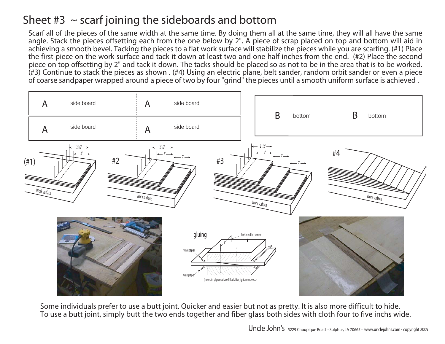## Sheet  $#3 \sim$  scarf joining the sideboards and bottom

Scarf all of the pieces of the same width at the same time. By doing them all at the same time, they will all have the same angle. Stack the pieces offsetting each from the one below by 2". A piece of scrap placed on top and bottom will aid in achieving a smooth bevel. Tacking the pieces to a flat work surface will stabilize the pieces while you are scarfing. (#1) Place the first piece on the work surface and tack it down at least two and one half inches from the end. (#2) Place the second piece on top offsetting by 2" and tack it down. The tacks should be placed so as not to be in the area that is to be worked. (#3) Continue to stack the pieces as shown . (#4) Using an electric plane, belt sander, random orbit sander or even a piece of coarse sandpaper wrapped around a piece of two by four "grind" the pieces until a smooth uniform surface is achieved .



Some individuals prefer to use a butt joint. Quicker and easier but not as pretty. It is also more difficult to hide. To use a butt joint, simply butt the two ends together and fiber glass both sides with cloth four to five inchs wide.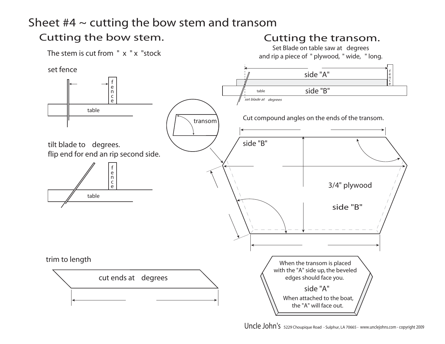### Sheet  $#4 \sim$  cutting the bow stem and transom

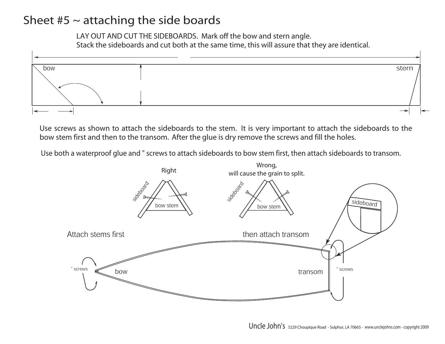### Sheet  $#5 \sim$  attaching the side boards

LAY OUT AND CUT THE SIDEBOARDS. Mark off the bow and stern angle. Stack the sideboards and cut both at the same time, this will assure that they are identical.



Use screws as shown to attach the sideboards to the stem. It is very important to attach the sideboards to the bow stem first and then to the transom. After the glue is dry remove the screws and fill the holes.

Use both a waterproof glue and " screws to attach sideboards to bow stem first, then attach sideboards to transom.

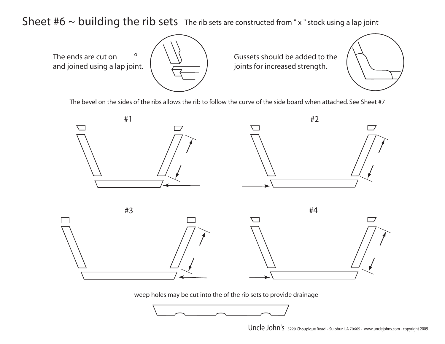Sheet  $#6 \sim$  building the rib sets The rib sets are constructed from "x" stock using a lap joint

The ends are cut on and joined using a lap joint. oGussets should be added to thejoints for increased strength.

The bevel on the sides of the ribs allows the rib to follow the curve of the side board when attached. See Sheet #7





weep holes may be cut into the of the rib sets to provide drainage

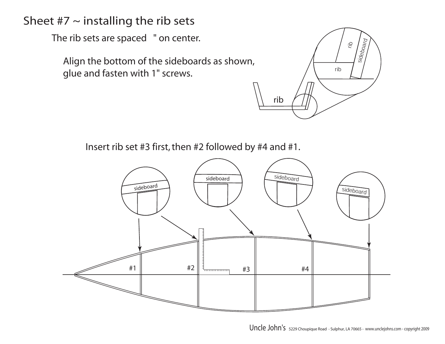## Sheet  $#7 \sim$  installing the rib sets

glue and fasten with 1" screws.



Insert rib set #3 first, then #2 followed by #4 and #1.

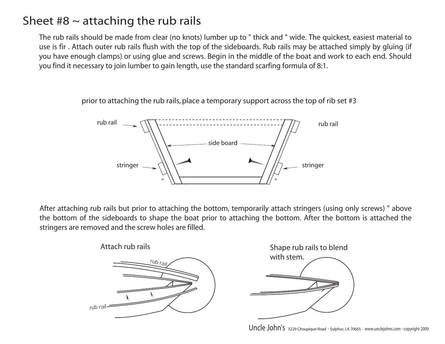## Sheet  $#8 \sim$  attaching the rub rails

The rub rails should be made from clear (no knots) lumber up to " thick and " wide. The quickest, easiest material to use is fir . Attach outer rub rails flush with the top of the sideboards. Rub rails may be attached simply by gluing (if you have enough clamps) or using glue and screws. Begin in the middle of the boat and work to each end. Should you find it necessary to join lumber to gain length, use the standard scarfing formula of 8:1.

> side boardrub railrub rail

> > stringer  $\sqrt{\left(\right)}$   $\sqrt{\left(\right)}$  stringer

 $\sqrt{1 + \frac{1}{1 + \frac{1}{1 + \frac{1}{1 + \frac{1}{1 + \frac{1}{1 + \frac{1}{1 + \frac{1}{1 + \frac{1}{1 + \frac{1}{1 + \frac{1}{1 + \frac{1}{1 + \frac{1}{1 + \frac{1}{1 + \frac{1}{1 + \frac{1}{1 + \frac{1}{1 + \frac{1}{1 + \frac{1}{1 + \frac{1}{1 + \frac{1}{1 + \frac{1}{1 + \frac{1}{1 + \frac{1}{1 + \frac{1}{1 + \frac{1}{1 + \frac{1}{1 + \frac{1}{1 + \frac{1}{1 + \frac{1}{1 + \frac{1}{1 + \frac{1}{$ 

prior to attaching the rub rails, place a temporary support across the top of rib set #3

After attaching rub rails but prior to attaching the bottom, temporarily attach stringers (using only screws) " above the bottom of the sideboards to shape the boat prior to attaching the bottom. After the bottom is attached the stringers are removed and the screw holes are filled.





Uncle John's 5229 Choupique Road - Sulphur, LA 70665 - www.unclejohns.com - copyright 2009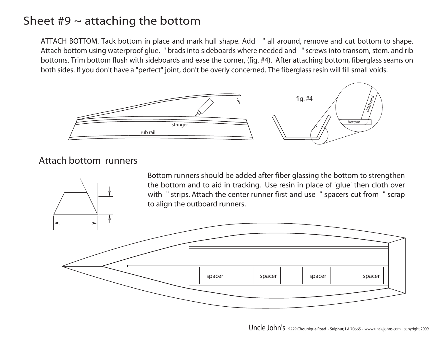## Sheet  $#9 \sim$  attaching the bottom

ATTACH BOTTOM. Tack bottom in place and mark hull shape. Add " all around, remove and cut bottom to shape. Attach bottom using waterproof glue, " brads into sideboards where needed and " screws into transom, stem. and rib bottoms. Trim bottom flush with sideboards and ease the corner, (fig. #4). After attaching bottom, fiberglass seams on both sides. If you don't have a "perfect" joint, don't be overly concerned. The fiberglass resin will fill small voids.



#### Attach bottom runners



Bottom runners should be added after fiber glassing the bottom to strengthen the bottom and to aid in tracking. Use resin in place of 'glue' then cloth over with " strips. Attach the center runner first and use " spacers cut from " scrap to align the outboard runners.

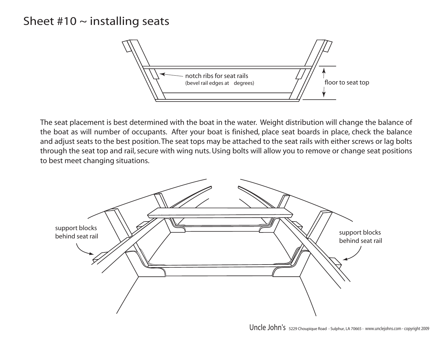### Sheet  $#10 \sim$  installing seats

![](_page_10_Figure_1.jpeg)

The seat placement is best determined with the boat in the water. Weight distribution will change the balance of the boat as will number of occupants. After your boat is finished, place seat boards in place, check the balance and adjust seats to the best position. The seat tops may be attached to the seat rails with either screws or lag bolts through the seat top and rail, secure with wing nuts. Using bolts will allow you to remove or change seat positions to best meet changing situations.

![](_page_10_Picture_3.jpeg)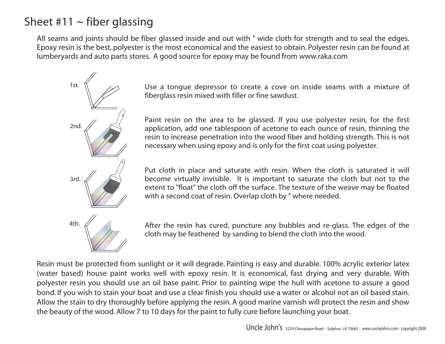# Sheet #11  $\sim$  fiber glassing

All seams and joints should be fiber glassed inside and out with " wide cloth for strength and to seal the edges. Epoxy resin is the best, polyester is the most economical and the easiest to obtain. Polyester resin can be found at lumberyards and auto parts stores. A good source for epoxy may be found from www.raka.com

![](_page_11_Figure_2.jpeg)

1st.  $\mathbb{N}$  //  $\mathbb{N}$  Use a tongue depressor to create a cove on inside seams with a mixture of fiberglass resin mixed with filler or fine sawdust.

> Paint resin on the area to be glassed. If you use polyester resin, for the first application, add one tablespoon of acetone to each ounce of resin, thinning the resin to increase penetration into the wood fiber and holding strength. This is not necessary when using epoxy and is only for the first coat using polyester.

> Put cloth in place and saturate with resin. When the cloth is saturated it will become virtually invisible. It is important to saturate the cloth but not to the extent to "float" the cloth off the surface. The texture of the weave may be floated with a second coat of resin. Overlap cloth by " where needed.

4th.  $\mathcal{A}$  After the resin has cured, puncture any bubbles and re-glass. The edges of the cloth may be feathered by sanding to blend the cloth into the wood.

Resin must be protected from sunlight or it will degrade. Painting is easy and durable. 100% acrylic exterior latex (water based) house paint works well with epoxy resin. It is economical, fast drying and very durable. With polyester resin you should use an oil base paint. Prior to painting wipe the hull with acetone to assure a good bond. If you wish to stain your boat and use a clear finish you should use a water or alcohol not an oil based stain. Allow the stain to dry thoroughly before applying the resin. A good marine varnish will protect the resin and show the beauty of the wood. Allow 7 to 10 days for the paint to fully cure before launching your boat.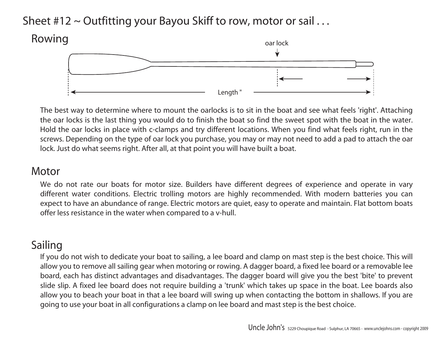## Sheet  $#12 \sim$  Outfitting your Bayou Skiff to row, motor or sail ...

![](_page_12_Figure_1.jpeg)

The best way to determine where to mount the oarlocks is to sit in the boat and see what feels 'right'. Attaching the oar locks is the last thing you would do to finish the boat so find the sweet spot with the boat in the water. Hold the oar locks in place with c-clamps and try different locations. When you find what feels right, run in the screws. Depending on the type of oar lock you purchase, you may or may not need to add a pad to attach the oar lock. Just do what seems right. After all, at that point you will have built a boat.

#### **Motor**

We do not rate our boats for motor size. Builders have different degrees of experience and operate in vary different water conditions. Electric trolling motors are highly recommended. With modern batteries you can expect to have an abundance of range. Electric motors are quiet, easy to operate and maintain. Flat bottom boats offer less resistance in the water when compared to a v-hull.

#### Sailing

If you do not wish to dedicate your boat to sailing, a lee board and clamp on mast step is the best choice. This will allow you to remove all sailing gear when motoring or rowing. A dagger board, a fixed lee board or a removable lee board, each has distinct advantages and disadvantages. The dagger board will give you the best 'bite' to prevent slide slip. A fixed lee board does not require building a 'trunk' which takes up space in the boat. Lee boards also allow you to beach your boat in that a lee board will swing up when contacting the bottom in shallows. If you are going to use your boat in all configurations a clamp on lee board and mast step is the best choice.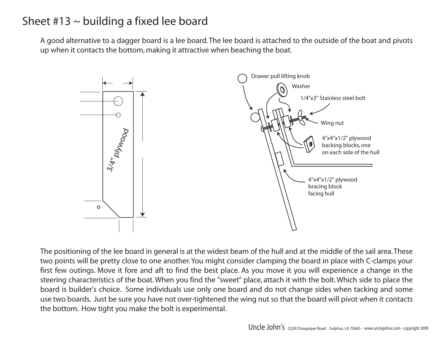## Sheet  $#13 \sim$  building a fixed lee board

A good alternative to a dagger board is a lee board. The lee board is attached to the outside of the boat and pivots up when it contacts the bottom, making it attractive when beaching the boat.

![](_page_13_Figure_2.jpeg)

The positioning of the lee board in general is at the widest beam of the hull and at the middle of the sail area. These two points will be pretty close to one another. You might consider clamping the board in place with C-clamps your first few outings. Move it fore and aft to find the best place. As you move it you will experience a change in the steering characteristics of the boat. When you find the "sweet" place, attach it with the bolt. Which side to place the board is builder's choice. Some individuals use only one board and do not change sides when tacking and some use two boards. Just be sure you have not over-tightened the wing nut so that the board will pivot when it contacts the bottom. How tight you make the bolt is experimental.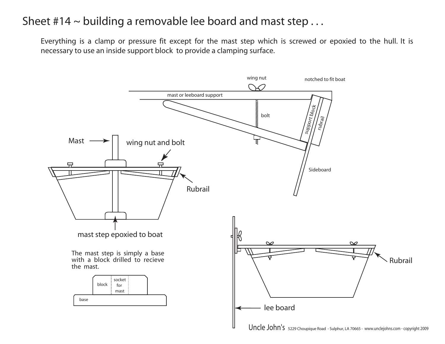## Sheet  $#14 \sim$  building a removable lee board and mast step ...

Everything is a clamp or pressure fit except for the mast step which is screwed or epoxied to the hull. It is necessary to use an inside support block to provide a clamping surface.

![](_page_14_Figure_2.jpeg)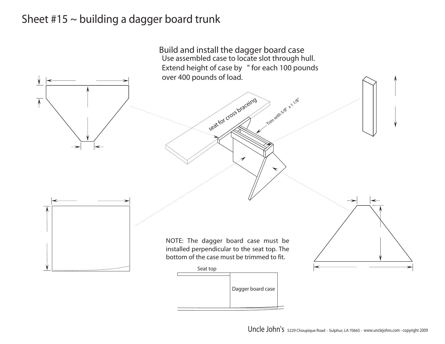#### Sheet  $#15 \sim$  building a dagger board trunk

![](_page_15_Figure_1.jpeg)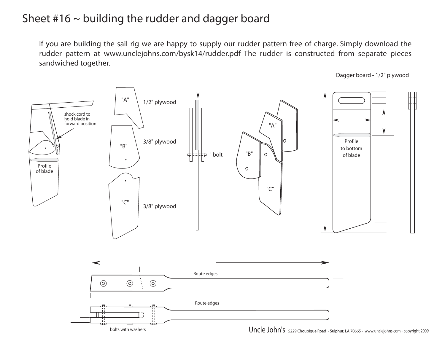### Sheet  $#16 \sim$  building the rudder and dagger board

If you are building the sail rig we are happy to supply our rudder pattern free of charge. Simply download the rudder pattern at www.unclejohns.com/bysk14/rudder.pdf The rudder is constructed from separate pieces sandwiched together.

![](_page_16_Figure_2.jpeg)

![](_page_16_Figure_3.jpeg)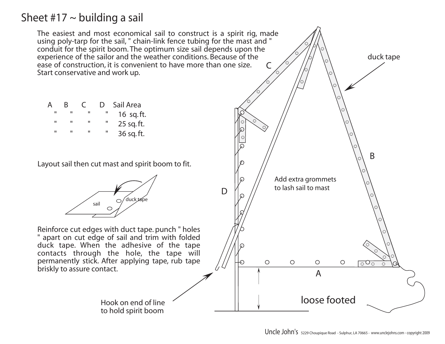#### Sheet #17  $\sim$  building a sail

The easiest and most economical sail to construct is a spirit rig, made using poly-tarp for the sail, " chain-link fence tubing for the mast and " conduit for the spirit boom. The optimum size sail depends upon the experience of the sailor and the weather conditions. Because of the duck tape ease of construction, it is convenient to have more than one size. CStart conservative and work up. **Sail Area** 16 sq. ft. 25 sq. ft. 36 sq. ft. BLayout sail then cut mast and spirit boom to fit. Add extra grommets to lash sail to mast Dduck tape sailReinforce cut edges with duct tape. punch " holes " apart on cut edge of sail and trim with folded duck tape. When the adhesive of the tape contacts through the hole, the tape will permanently stick. After applying tape, rub tape  $\circ$  $\circ$  $\bigcirc$  $\circ$ ਨੂੰ briskly to assure contact. Aloose footedHook on end of lineto hold spirit boom